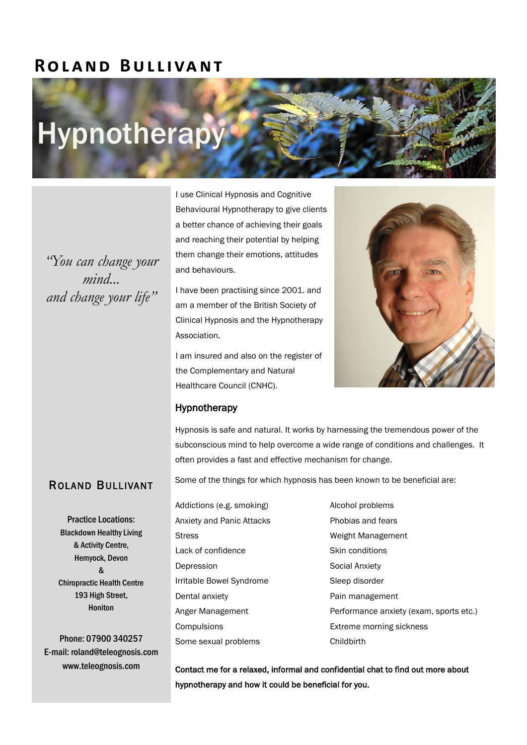## **R o l a n d B u l l i va n t**

# **Hypnotherapy**

*"You can change your mind... and change your life"*

I use Clinical Hypnosis and Cognitive Behavioural Hypnotherapy to give clients a better chance of achieving their goals and reaching their potential by helping them change their emotions, attitudes and behaviours.

I have been practising since 2001. and am a member of the British Society of Clinical Hypnosis and the Hypnotherapy Association.

I am insured and also on the register of the Complementary and Natural Healthcare Council (CNHC).



### Hypnotherapy

Hypnosis is safe and natural. It works by harnessing the tremendous power of the subconscious mind to help overcome a wide range of conditions and challenges. It often provides a fast and effective mechanism for change.

## ROLAND BULLIVANT

Practice Locations: Blackdown Healthy Living & Activity Centre, Hemyock, Devon & Chiropractic Health Centre 193 High Street, Honiton

Phone: 07900 340257 E-mail: roland@teleognosis.com www.teleognosis.com

Some of the things for which hypnosis has been known to be beneficial are:

- Addictions (e.g. smoking) Alcohol problems Anxiety and Panic Attacks Phobias and fears Stress Weight Management Lack of confidence Skin conditions Depression Social Anxiety Irritable Bowel Syndrome Sleep disorder Dental anxiety **Pain management** Compulsions Extreme morning sickness Some sexual problems Childbirth
- Anger Management **Performance anxiety (exam, sports etc.)**

Contact me for a relaxed, informal and confidential chat to find out more about hypnotherapy and how it could be beneficial for you.